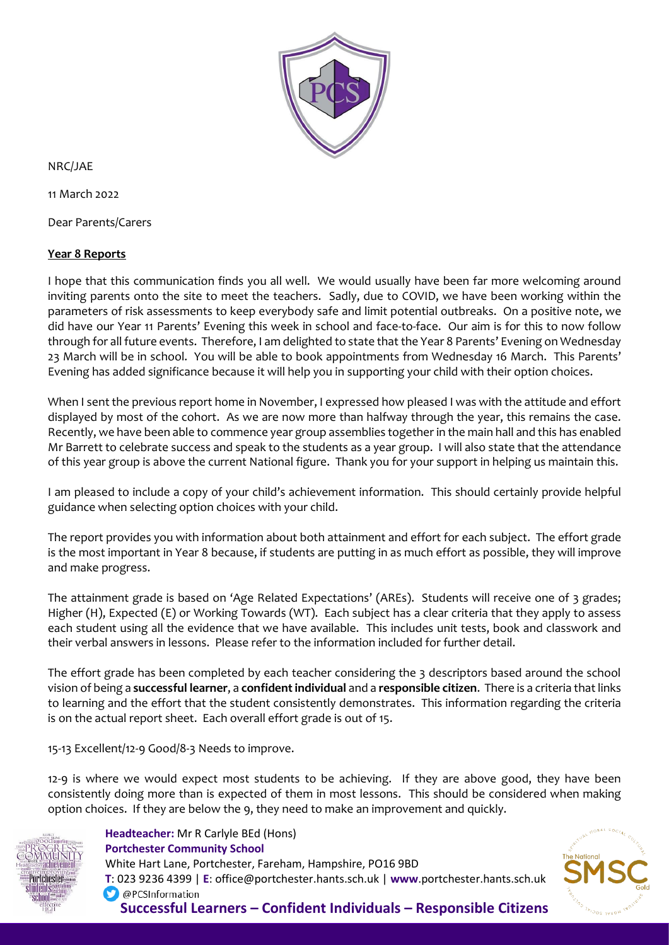

NRC/JAE

11 March 2022

Dear Parents/Carers

## **Year 8 Reports**

I hope that this communication finds you all well. We would usually have been far more welcoming around inviting parents onto the site to meet the teachers. Sadly, due to COVID, we have been working within the parameters of risk assessments to keep everybody safe and limit potential outbreaks. On a positive note, we did have our Year 11 Parents' Evening this week in school and face-to-face. Our aim is for this to now follow through for all future events. Therefore, I am delighted to state that the Year 8 Parents' Evening on Wednesday 23 March will be in school. You will be able to book appointments from Wednesday 16 March. This Parents' Evening has added significance because it will help you in supporting your child with their option choices.

When I sent the previous report home in November, I expressed how pleased I was with the attitude and effort displayed by most of the cohort. As we are now more than halfway through the year, this remains the case. Recently, we have been able to commence year group assemblies together in the main hall and this has enabled Mr Barrett to celebrate success and speak to the students as a year group. I will also state that the attendance of this year group is above the current National figure. Thank you for your support in helping us maintain this.

I am pleased to include a copy of your child's achievement information. This should certainly provide helpful guidance when selecting option choices with your child.

The report provides you with information about both attainment and effort for each subject. The effort grade is the most important in Year 8 because, if students are putting in as much effort as possible, they will improve and make progress.

The attainment grade is based on 'Age Related Expectations' (AREs). Students will receive one of 3 grades; Higher (H), Expected (E) or Working Towards (WT). Each subject has a clear criteria that they apply to assess each student using all the evidence that we have available. This includes unit tests, book and classwork and their verbal answers in lessons. Please refer to the information included for further detail.

The effort grade has been completed by each teacher considering the 3 descriptors based around the school vision of being a **successful learner**, a **confident individual** and a **responsible citizen**. There is a criteria that links to learning and the effort that the student consistently demonstrates. This information regarding the criteria is on the actual report sheet. Each overall effort grade is out of 15.

15-13 Excellent/12-9 Good/8-3 Needs to improve.

12-9 is where we would expect most students to be achieving. If they are above good, they have been consistently doing more than is expected of them in most lessons. This should be considered when making option choices. If they are below the 9, they need to make an improvement and quickly.



 **Headteacher:** Mr R Carlyle BEd (Hons)  **Portchester Community School** White Hart Lane, Portchester, Fareham, Hampshire, PO16 9BD  **T**: 023 9236 4399 | **E**: office@portchester.hants.sch.uk | **www**.portchester.hants.sch.uk O @PCSInformation **Successful Learners – Confident Individuals – Responsible Citizens**